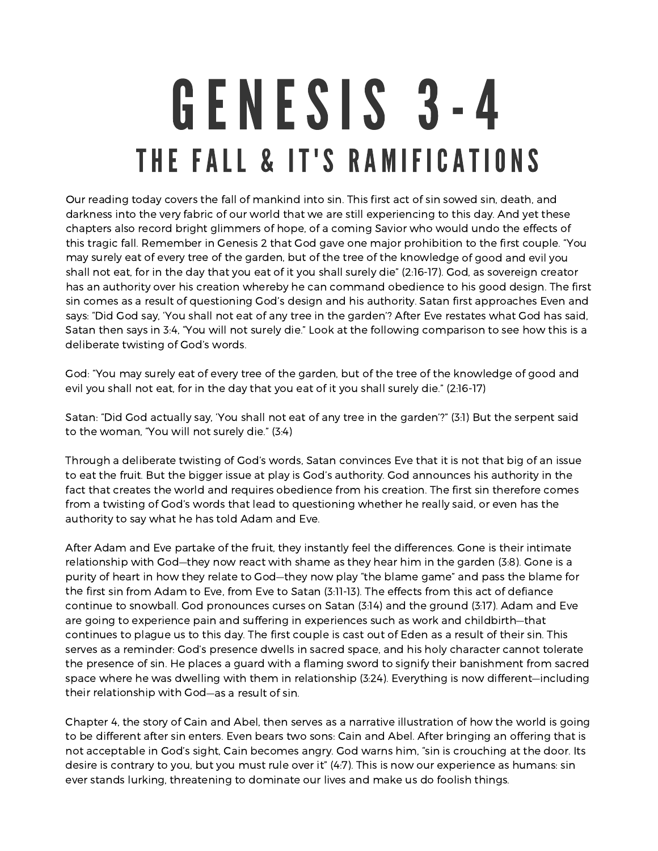## GENESIS 3-4 THE FALL & IT'S RAMIFICATIONS

Our reading today covers the fall of mankind into sin. This first act of sin sowed sin, death, and darkness into the very fabric of our world that we are still experiencing to this day. And yet these chapters also record bright glimmers of hope, of <sup>a</sup> coming Savior who would undo the effects of this tragic fall. Remember in Genesis 2 that God gave one major prohibition to the first couple. "You may surely eat of every tree of the garden, but of the tree of the knowledge of good and evil you shall not eat, for in the day that you eat of it you shall surely die" (2:16-17). God, as sovereign creator has an authority over his creation whereby he can command obedience to his good design. The first sin comes as <sup>a</sup> result of questioning God's design and his authority. Satan first approaches Even and says: "Did God say, 'You shall not eat of any tree in the garden'? After Eve restates what God has said, Satan then says in 3:4, "You will not surely die." Look at the following comparison to see how this is <sup>a</sup> deliberate twisting of God's words.

God: "You may surely eat of every tree of the garden, but of the tree of the knowledge of good and evil you shall not eat, for in the day that you eat of it you shall surely die." (2:16-17)

Satan: "Did God actually say, 'You shall not eat of any tree in the garden'?" (3:1) But the serpent said to the woman, "You will not surely die." (3:4)

Through <sup>a</sup> deliberate twisting of God's words, Satan convinces Eve that it is not that big of an issue to eat the fruit. But the bigger issue at play is God's authority. God announces his authority in the fact that creates the world and requires obedience from his creation. The first sin therefore comes from <sup>a</sup> twisting of God's words that lead to questioning whether he really said, or even has the authority to say what he has told Adam and Eve.

After Adam and Eve partake of the fruit, they instantly feel the differences. Gone is their intimate relationship with God—they now react with shame as they hear him in the garden (3:8). Gone is <sup>a</sup> purity of heart in how they relate to God—they now play "the blame game" and pass the blame for the first sin from Adam to Eve, from Eve to Satan (3:11-13). The effects from this act of defiance continue to snowball. God pronounces curses on Satan (3:14) and the ground (3:17). Adam and Eve are going to experience pain and suffering in experiences such as work and childbirth—that continues to plague us to this day. The first couple is cast out of Eden as <sup>a</sup> result of their sin. This serves as <sup>a</sup> reminder: God's presence dwells in sacred space, and his holy character cannot tolerate the presence of sin. He places <sup>a</sup> guard with <sup>a</sup> flaming sword to signify their banishment from sacred space where he was dwelling with them in relationship (3:24). Everything is now different—including their relationship with God—as <sup>a</sup> result of sin.

Chapter 4, the story of Cain and Abel, then serves as <sup>a</sup> narrative illustration of how the world is going to be different after sin enters. Even bears two sons: Cain and Abel. After bringing an offering that is not acceptable in God's sight, Cain becomes angry. God warns him, "sin is crouching at the door. Its desire is contrary to you, but you must rule over it" (4:7). This is now our experience as humans: sin ever stands lurking, threatening to dominate our lives and make us do foolish things.